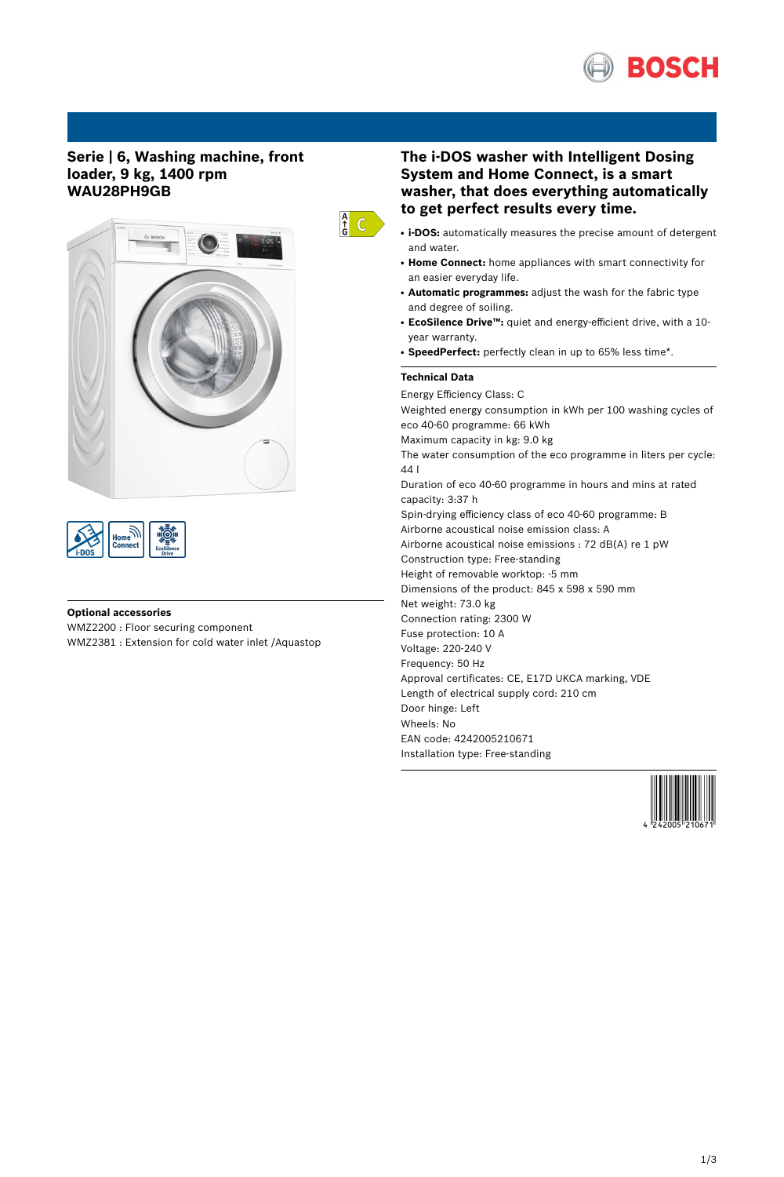

# **Serie | 6, Washing machine, front loader, 9 kg, 1400 rpm WAU28PH9GB**





## **Optional accessories**

WMZ2200 : Floor securing component WMZ2381 : Extension for cold water inlet /Aquastop

# **The i-DOS washer with Intelligent Dosing System and Home Connect, is a smart washer, that does everything automatically to get perfect results every time.**

- i-DOS: automatically measures the precise amount of detergent and water.
- **Home Connect:** home appliances with smart connectivity for an easier everyday life.
- **Automatic programmes:** adjust the wash for the fabric type and degree of soiling.
- **EcoSilence Drive™:** quiet and energy-efficient drive, with a 10 year warranty.
- SpeedPerfect: perfectly clean in up to 65% less time\*.

## **Technical Data**

 $\frac{A}{G}$  C

Energy Efficiency Class: C Weighted energy consumption in kWh per 100 washing cycles of eco 40-60 programme: 66 kWh Maximum capacity in kg: 9.0 kg The water consumption of the eco programme in liters per cycle: 44 l Duration of eco 40-60 programme in hours and mins at rated capacity: 3:37 h Spin-drying efficiency class of eco 40-60 programme: B Airborne acoustical noise emission class: A Airborne acoustical noise emissions : 72 dB(A) re 1 pW Construction type: Free-standing Height of removable worktop: -5 mm Dimensions of the product: 845 x 598 x 590 mm Net weight: 73.0 kg Connection rating: 2300 W Fuse protection: 10 A Voltage: 220-240 V Frequency: 50 Hz Approval certificates: CE, E17D UKCA marking, VDE Length of electrical supply cord: 210 cm Door hinge: Left Wheels: No EAN code: 4242005210671 Installation type: Free-standing

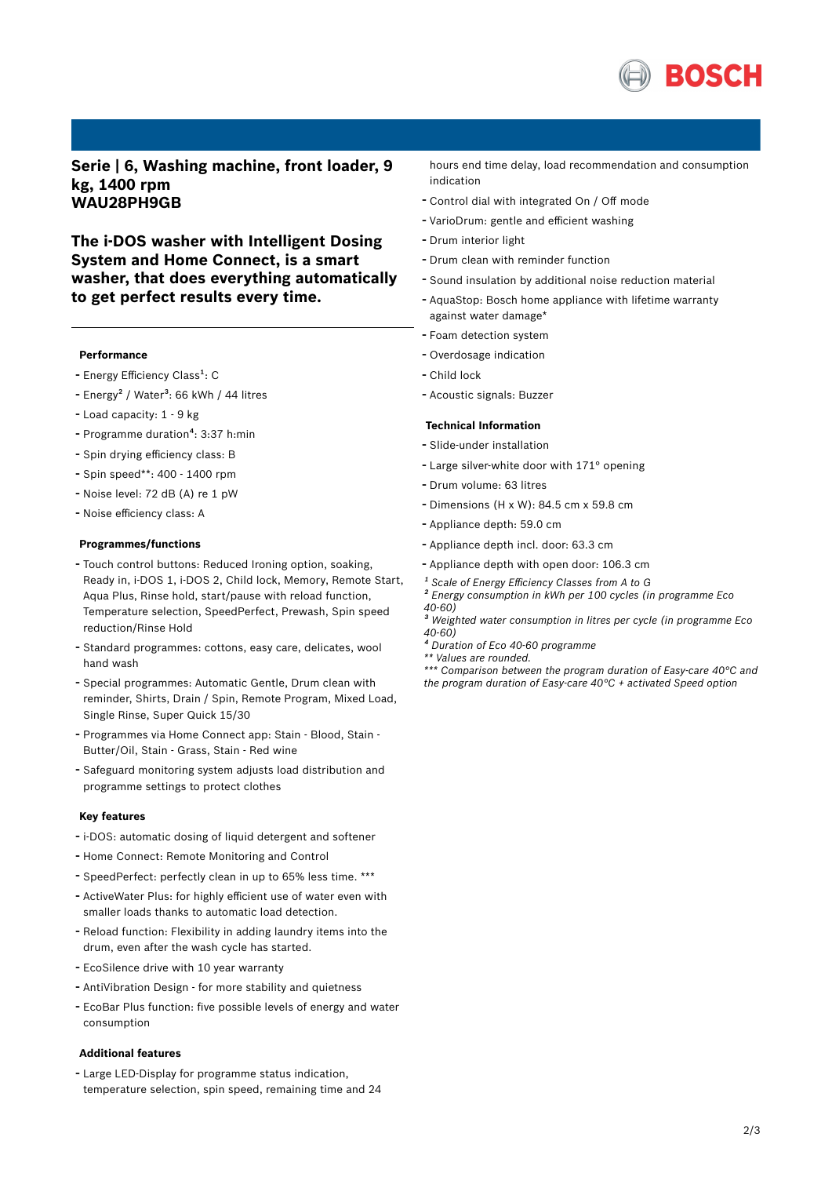

**Serie | 6, Washing machine, front loader, 9 kg, 1400 rpm WAU28PH9GB**

**The i-DOS washer with Intelligent Dosing System and Home Connect, is a smart washer, that does everything automatically to get perfect results every time.**

#### **Performance**

- Energy Efficiency Class<sup>1</sup>: C
- Energy<sup>2</sup> / Water<sup>3</sup>: 66 kWh / 44 litres
- Load capacity: <sup>1</sup> <sup>9</sup> kg
- Programme duration<sup>4</sup>: 3:37 h:min
- Spin drying efficiency class: <sup>B</sup>
- Spin speed\*\*: <sup>400</sup> <sup>1400</sup> rpm
- Noise level: <sup>72</sup> dB (A) re <sup>1</sup> pW
- Noise efficiency class: <sup>A</sup>

### **Programmes/functions**

- Touch control buttons: Reduced Ironing option, soaking, Ready in, i-DOS 1, i-DOS 2, Child lock, Memory, Remote Start, Aqua Plus, Rinse hold, start/pause with reload function, Temperature selection, SpeedPerfect, Prewash, Spin speed reduction/Rinse Hold
- Standard programmes: cottons, easy care, delicates, wool hand wash
- Special programmes: Automatic Gentle, Drum clean with reminder, Shirts, Drain / Spin, Remote Program, Mixed Load, Single Rinse, Super Quick 15/30
- Programmes via Home Connect app: Stain Blood, Stain Butter/Oil, Stain - Grass, Stain - Red wine
- Safeguard monitoring system adjusts load distribution and programme settings to protect clothes

### **Key features**

- i-DOS: automatic dosing of liquid detergent and softener
- Home Connect: Remote Monitoring and Control
- SpeedPerfect: perfectly clean in up to 65% less time. \*\*\*
- ActiveWater Plus: for highly efficient use of water even with smaller loads thanks to automatic load detection.
- Reload function: Flexibility in adding laundry items into the drum, even after the wash cycle has started.
- EcoSilence drive with <sup>10</sup> year warranty
- AntiVibration Design for more stability and quietness
- EcoBar Plus function: five possible levels of energy and water consumption

#### **Additional features**

- Large LED-Display for programme status indication, temperature selection, spin speed, remaining time and 24 hours end time delay, load recommendation and consumption indication

- Control dial with integrated On / Off mode
- VarioDrum: gentle and efficient washing
- Drum interior light
- Drum clean with reminder function
- Sound insulation by additional noise reduction material
- AquaStop: Bosch home appliance with lifetime warranty against water damage\*
- Foam detection system
- Overdosage indication
- Child lock
- Acoustic signals: Buzzer

#### **Technical Information**

- Slide-under installation
- Large silver-white door with 171° opening
- Drum volume: <sup>63</sup> litres
- Dimensions (H x W): 84.5 cm x 59.8 cm
- Appliance depth: 59.0 cm
- Appliance depth incl. door: 63.3 cm
- Appliance depth with open door: 106.3 cm
- *¹ Scale of Energy Efficiency Classes from A to G*
- *² Energy consumption in kWh per 100 cycles (in programme Eco 40-60)*
- *³ Weighted water consumption in litres per cycle (in programme Eco 40-60)*
- *⁴ Duration of Eco 40-60 programme*
- *\*\* Values are rounded.*
- *\*\*\* Comparison between the program duration of Easy-care 40°C and the program duration of Easy-care 40°C + activated Speed option*